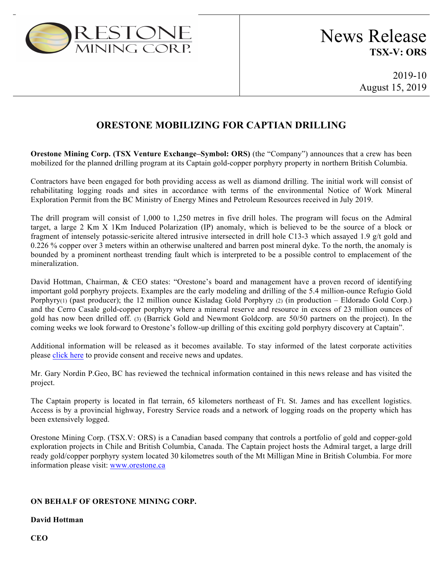

2019-10 August 15, 2019

## **ORESTONE MOBILIZING FOR CAPTIAN DRILLING**

**Orestone Mining Corp. (TSX Venture Exchange–Symbol: ORS)** (the "Company") announces that a crew has been mobilized for the planned drilling program at its Captain gold-copper porphyry property in northern British Columbia.

Contractors have been engaged for both providing access as well as diamond drilling. The initial work will consist of rehabilitating logging roads and sites in accordance with terms of the environmental Notice of Work Mineral Exploration Permit from the BC Ministry of Energy Mines and Petroleum Resources received in July 2019.

The drill program will consist of 1,000 to 1,250 metres in five drill holes. The program will focus on the Admiral target, a large 2 Km X 1Km Induced Polarization (IP) anomaly, which is believed to be the source of a block or fragment of intensely potassic-sericite altered intrusive intersected in drill hole C13-3 which assayed 1.9 g/t gold and 0.226 % copper over 3 meters within an otherwise unaltered and barren post mineral dyke. To the north, the anomaly is bounded by a prominent northeast trending fault which is interpreted to be a possible control to emplacement of the mineralization.

David Hottman, Chairman, & CEO states: "Orestone's board and management have a proven record of identifying important gold porphyry projects. Examples are the early modeling and drilling of the 5.4 million-ounce Refugio Gold Porphyry(1) (past producer); the 12 million ounce Kisladag Gold Porphyry (2) (in production – Eldorado Gold Corp.) and the Cerro Casale gold-copper porphyry where a mineral reserve and resource in excess of 23 million ounces of gold has now been drilled off. (3) (Barrick Gold and Newmont Goldcorp. are 50/50 partners on the project). In the coming weeks we look forward to Orestone's follow-up drilling of this exciting gold porphyry discovery at Captain".

Additional information will be released as it becomes available. To stay informed of the latest corporate activities please click here to provide consent and receive news and updates.

Mr. Gary Nordin P.Geo, BC has reviewed the technical information contained in this news release and has visited the project.

The Captain property is located in flat terrain, 65 kilometers northeast of Ft. St. James and has excellent logistics. Access is by a provincial highway, Forestry Service roads and a network of logging roads on the property which has been extensively logged.

Orestone Mining Corp. (TSX.V: ORS) is a Canadian based company that controls a portfolio of gold and copper-gold exploration projects in Chile and British Columbia, Canada. The Captain project hosts the Admiral target, a large drill ready gold/copper porphyry system located 30 kilometres south of the Mt Milligan Mine in British Columbia. For more information please visit: www.orestone.ca

## **ON BEHALF OF ORESTONE MINING CORP.**

## **David Hottman**